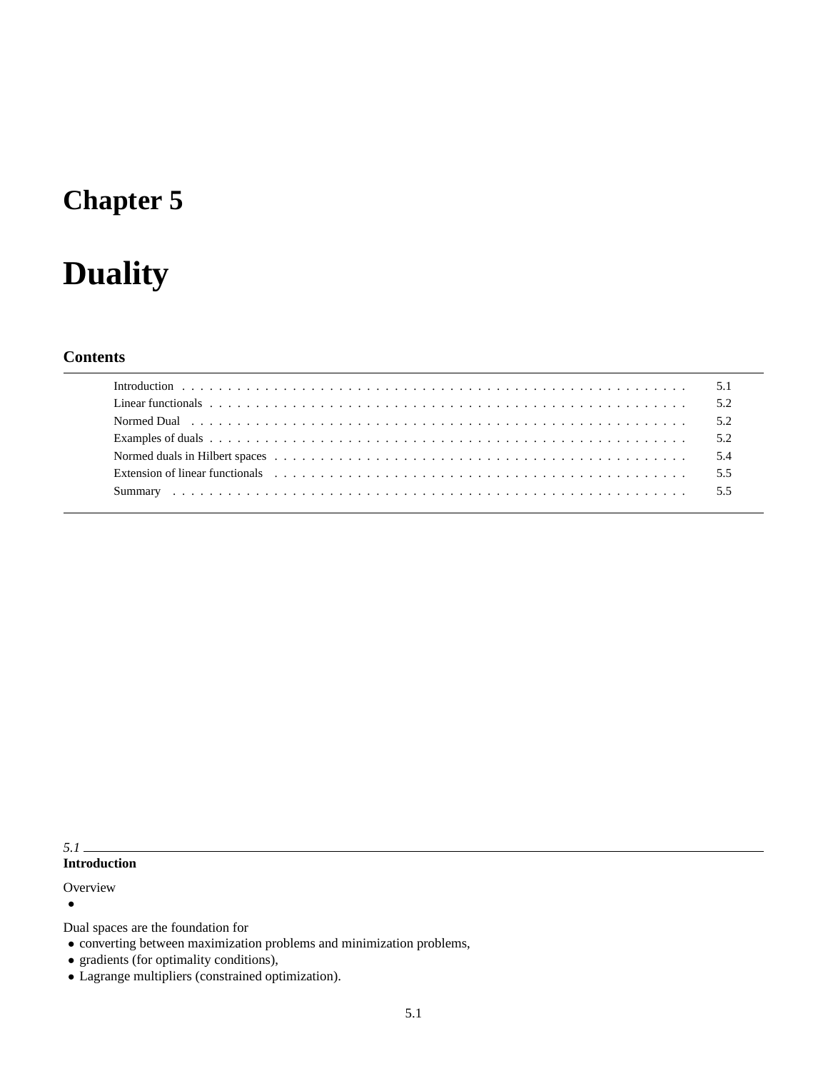## **Chapter 5**

# **Duality**

## **Contents**

| Extension of linear functionals extension of the state of the state of the state of the state of the state of the state of the state of the state of the state of the state of the state of the state of the state of the stat |  |
|--------------------------------------------------------------------------------------------------------------------------------------------------------------------------------------------------------------------------------|--|
|                                                                                                                                                                                                                                |  |

## *5.1*

## **Introduction**

## **Overview**

•

Dual spaces are the foundation for

- converting between maximization problems and minimization problems,
- gradients (for optimality conditions),
- Lagrange multipliers (constrained optimization).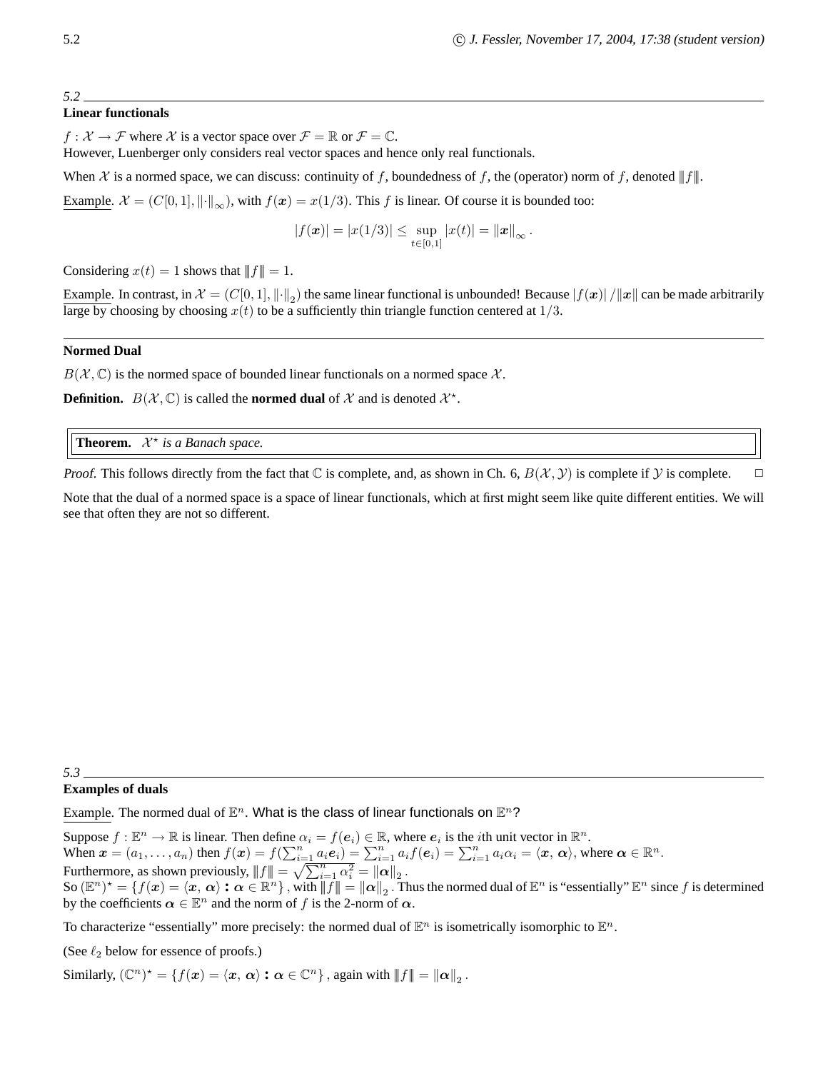#### *5.2*

#### **Linear functionals**

 $f: \mathcal{X} \to \mathcal{F}$  where X is a vector space over  $\mathcal{F} = \mathbb{R}$  or  $\mathcal{F} = \mathbb{C}$ .

However, Luenberger only considers real vector spaces and hence only real functionals.

When X is a normed space, we can discuss: continuity of f, boundedness of f, the (operator) norm of f, denoted  $||f||$ .

Example.  $\mathcal{X} = (C[0, 1], ||\cdot||_{\infty})$ , with  $f(x) = x(1/3)$ . This f is linear. Of course it is bounded too:

$$
|f(\boldsymbol{x})| = |x(1/3)| \leq \sup_{t \in [0,1]} |x(t)| = ||\boldsymbol{x}||_{\infty}.
$$

Considering  $x(t) = 1$  shows that  $|| f || = 1$ .

Example. In contrast, in  $\mathcal{X} = (C[0,1], \|\cdot\|_2)$  the same linear functional is unbounded! Because  $|f(x)| / \|x\|$  can be made arbitrarily large by choosing by choosing  $x(t)$  to be a sufficiently thin triangle function centered at  $1/3$ .

#### **Normed Dual**

 $B(\mathcal{X}, \mathbb{C})$  is the normed space of bounded linear functionals on a normed space  $\mathcal{X}$ .

**Definition.**  $B(\mathcal{X}, \mathbb{C})$  is called the **normed dual** of  $\mathcal{X}$  and is denoted  $\mathcal{X}^*$ .

**Theorem.** ? *is a Banach space.*

*Proof.* This follows directly from the fact that  $\mathbb C$  is complete, and, as shown in Ch. 6,  $B(\mathcal X, \mathcal Y)$  is complete if  $\mathcal Y$  is complete.  $\Box$ 

Note that the dual of a normed space is a space of linear functionals, which at first might seem like quite different entities. We will see that often they are not so different.

#### *5.3*

#### **Examples of duals**

Example. The normed dual of  $\mathbb{E}^n$ . What is the class of linear functionals on  $\mathbb{E}^n$ ?

Suppose  $f : \mathbb{E}^n \to \mathbb{R}$  is linear. Then define  $\alpha_i = f(e_i) \in \mathbb{R}$ , where  $e_i$  is the *i*th unit vector in  $\mathbb{R}^n$ . When  $\mathbf{x} = (a_1, \dots, a_n)$  then  $f(\mathbf{x}) = f(\sum_{i=1}^n a_i \mathbf{e}_i) = \sum_{i=1}^n a_i f(\mathbf{e}_i) = \sum_{i=1}^n a_i \alpha_i = \langle \mathbf{x}, \alpha \rangle$ , where  $\alpha \in \mathbb{R}^n$ . Furthermore, as shown previously,  $|| f || = \sqrt{\sum_{i=1}^{n} \alpha_i^2} = ||\boldsymbol{\alpha}||_2$ . So  $(\mathbb{E}^n)^* = \{f(\boldsymbol{x}) = \langle \boldsymbol{x}, \boldsymbol{\alpha} \rangle : \boldsymbol{\alpha} \in \mathbb{R}^n\}$ , with  $||\boldsymbol{f}|| = ||\boldsymbol{\alpha}||_2$ . Thus the normed dual of  $\mathbb{E}^n$  is "essentially"  $\mathbb{E}^n$  since f is determined by the coefficients  $\alpha \in \mathbb{E}^n$  and the norm of f is the 2-norm of  $\alpha$ .

To characterize "essentially" more precisely: the normed dual of  $\mathbb{E}^n$  is isometrically isomorphic to  $\mathbb{E}^n$ .

(See  $\ell_2$  below for essence of proofs.)

Similarly,  $(\mathbb{C}^n)^* = \{f(\boldsymbol{x}) = \langle \boldsymbol{x}, \boldsymbol{\alpha} \rangle : \boldsymbol{\alpha} \in \mathbb{C}^n\}$ , again with  $||f|| = ||\boldsymbol{\alpha}||_2$ .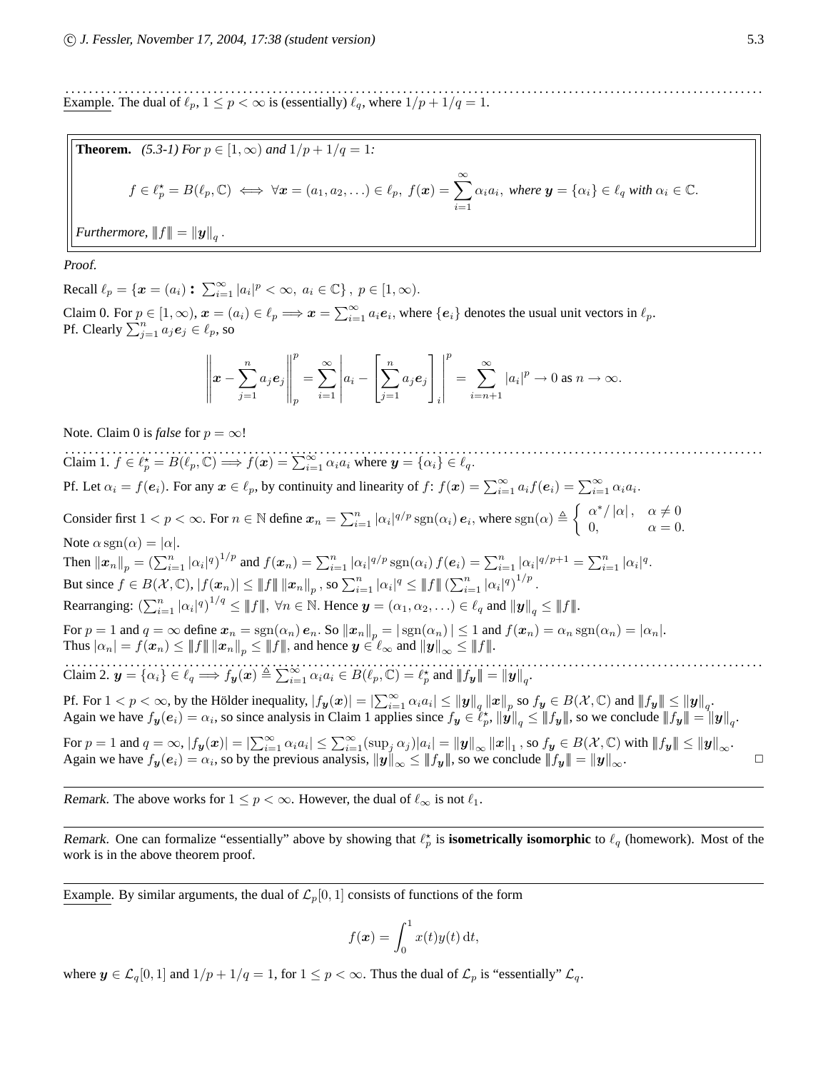. . . . . . . . . . . . . . . . . . . . . . . . . . . . . . . . . . . . . . . . . . . . . . . . . . . . . . . . . . . . . . . . . . . . . . . . . . . . . . . . . . . . . . . . . . . . . . . . . . . . . . . . . . . . . . . . . . . . . . Example. The dual of  $\ell_p$ ,  $1 \le p < \infty$  is (essentially)  $\ell_q$ , where  $1/p + 1/q = 1$ .

**Theorem.** (5.3-1) For 
$$
p \in [1, \infty)
$$
 and  $1/p + 1/q = 1$ :  
\n $f \in \ell_p^* = B(\ell_p, \mathbb{C}) \iff \forall x = (a_1, a_2, \ldots) \in \ell_p, f(x) = \sum_{i=1}^{\infty} \alpha_i a_i, \text{ where } y = \{\alpha_i\} \in \ell_q \text{ with } \alpha_i \in \mathbb{C}.$ 

*Furthermore,*  $\left\|f\right\| = \left\| \boldsymbol{y} \right\|_q$ .

Proof.

Recall  $\ell_p = \{x = (a_i) : \sum_{i=1}^{\infty} |a_i|^p < \infty, a_i \in \mathbb{C}\}, p \in [1, \infty)$ .

Claim 0. For  $p \in [1,\infty)$ ,  $\boldsymbol{x} = (a_i) \in \ell_p \Longrightarrow \boldsymbol{x} = \sum_{i=1}^{\infty} a_i \boldsymbol{e}_i$ , where  $\{\boldsymbol{e}_i\}$  denotes the usual unit vectors in  $\ell_p$ . Pf. Clearly  $\sum_{j=1}^{n} a_j e_j \in \ell_p$ , so

$$
\left\|\boldsymbol{x}-\sum_{j=1}^n a_j \boldsymbol{e}_j\right\|_p^p = \sum_{i=1}^\infty \left|a_i - \left[\sum_{j=1}^n a_j \boldsymbol{e}_j\right]_i\right|^p = \sum_{i=n+1}^\infty |a_i|^p \to 0 \text{ as } n \to \infty.
$$

Note. Claim 0 is *false* for  $p = \infty$ !

. . . . . . . . . . . . . . . . . . . . . . . . . . . . . . . . . . . . . . . . . . . . . . . . . . . . . . . . . . . . . . . . . . . . . . . . . . . . . . . . . . . . . . . . . . . . . . . . . . . . . . . . . . . . . . . . . . . . . . Claim 1.  $f \in \ell_p^* = B(\ell_p, \mathbb{C}) \implies f(\mathbf{x}) = \sum_{i=1}^{\infty} \alpha_i a_i$  where  $\mathbf{y} = {\alpha_i} \in \ell_q$ . Pf. Let  $\alpha_i = f(e_i)$ . For any  $x \in \ell_p$ , by continuity and linearity of  $f: f(x) = \sum_{i=1}^{\infty} a_i f(e_i) = \sum_{i=1}^{\infty} \alpha_i a_i$ . Consider first  $1 < p < \infty$ . For  $n \in \mathbb{N}$  define  $x_n = \sum_{i=1}^n |\alpha_i|^{q/p} \operatorname{sgn}(\alpha_i) e_i$ , where  $\operatorname{sgn}(\alpha) \triangleq \begin{cases} \alpha^* / |\alpha|, & \alpha \neq 0 \\ 0 & \alpha = 0 \end{cases}$ 0,  $\alpha = 0$ . Note  $\alpha$  sgn $(\alpha) = |\alpha|$ . Then  $||x_n||_p = \left(\sum_{i=1}^n |\alpha_i|^q\right)^{1/p}$  and  $f(x_n) = \sum_{i=1}^n |\alpha_i|^{q/p} \operatorname{sgn}(\alpha_i) f(e_i) = \sum_{i=1}^n |\alpha_i|^{q/p+1} = \sum_{i=1}^n |\alpha_i|^q$ . But since  $f \in B(\mathcal{X}, \mathbb{C}), |f(\boldsymbol{x}_n)| \leq ||f|| ||\boldsymbol{x}_n||_p$ , so  $\sum_{i=1}^n |\alpha_i|^q \leq ||f|| (\sum_{i=1}^n |\alpha_i|^q)^{1/p}$ . Rearranging:  $\left(\sum_{i=1}^n |\alpha_i|^q\right)^{1/q} \leq ||f||$ ,  $\forall n \in \mathbb{N}$ . Hence  $\mathbf{y} = (\alpha_1, \alpha_2, \ldots) \in \ell_q$  and  $||\mathbf{y}||_q \leq ||f||$ . For  $p = 1$  and  $q = \infty$  define  $x_n = \text{sgn}(\alpha_n) e_n$ . So  $||x_n||_p = |\text{sgn}(\alpha_n)| \leq 1$  and  $f(x_n) = \alpha_n \text{sgn}(\alpha_n) = |\alpha_n|$ . Thus  $|\alpha_n| = f(x_n) \leq ||f|| \, ||x_n||_p \leq ||f||$ , and hence  $y \in \ell_\infty$  and  $||y||_\infty \leq ||f||$ . Claim 2.  $\mathbf{y} = {\alpha_i} \in \ell_q \implies f_{\mathbf{y}}(\mathbf{x}) \triangleq \sum_{i=1}^{\infty} \alpha_i a_i \in B(\ell_p, \mathbb{C}) = \ell_p^*$  and  $||f_{\mathbf{y}}|| = ||\mathbf{y}||_q$ . Pf. For  $1 < p < \infty$ , by the Hölder inequality,  $|f_{\mathbf{y}}(x)| = |\sum_{i=1}^{\infty} \alpha_i a_i| \le ||\mathbf{y}||_q ||\mathbf{x}||_p$  so  $f_{\mathbf{y}} \in B(\mathcal{X}, \mathbb{C})$  and  $||f_{\mathbf{y}}|| \le ||\mathbf{y}||_q$ . Again we have  $f_{y}(e_i) = \alpha_i$ , so since analysis in Claim 1 applies since  $f_{y} \in \ell_p^*$ ,  $\|\dot{y}\|_q \le \|f_{y}\|$ , so we conclude  $||f_{y}|| = ||y||_q$ . For  $p = 1$  and  $q = \infty$ ,  $|f_{\boldsymbol{y}}(\boldsymbol{x})| = |\sum_{i=1}^{\infty} \alpha_i a_i| \leq \sum_{i=1}^{\infty} (\sup_j \alpha_j)|a_i| = ||\boldsymbol{y}||_{\infty} ||\boldsymbol{x}||_1$ , so  $f_{\boldsymbol{y}} \in B(\mathcal{X}, \mathbb{C})$  with  $||f_{\boldsymbol{y}}|| \leq ||\boldsymbol{y}||_{\infty}$ . Again we have  $f_y(e_i) = \alpha_i$ , so by the previous analysis,  $||y||_{\infty} \le ||f_y||$ , so we conclude  $||f_y|| = ||y||_{\infty}$ .

Remark. The above works for  $1 \le p < \infty$ . However, the dual of  $\ell_{\infty}$  is not  $\ell_1$ .

Remark. One can formalize "essentially" above by showing that  $\ell_p^*$  is **isometrically isomorphic** to  $\ell_q$  (homework). Most of the work is in the above theorem proof.

Example. By similar arguments, the dual of  $\mathcal{L}_p[0, 1]$  consists of functions of the form

$$
f(\boldsymbol{x}) = \int_0^1 x(t)y(t) \, \mathrm{d}t,
$$

where  $y \in \mathcal{L}_q[0,1]$  and  $1/p + 1/q = 1$ , for  $1 \le p < \infty$ . Thus the dual of  $\mathcal{L}_p$  is "essentially"  $\mathcal{L}_q$ .